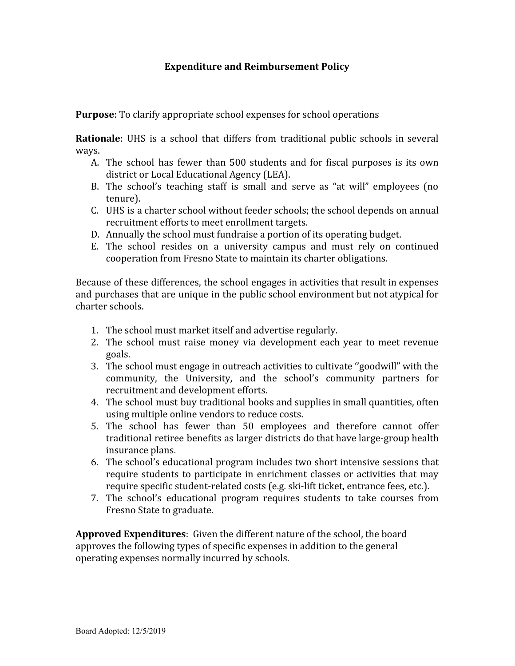## **Expenditure and Reimbursement Policy**

**Purpose**: To clarify appropriate school expenses for school operations

**Rationale**: UHS is a school that differs from traditional public schools in several ways.

- A. The school has fewer than 500 students and for fiscal purposes is its own district or Local Educational Agency (LEA).
- B. The school's teaching staff is small and serve as "at will" employees (no tenure).
- C. UHS is a charter school without feeder schools; the school depends on annual recruitment efforts to meet enrollment targets.
- D. Annually the school must fundraise a portion of its operating budget.
- E. The school resides on a university campus and must rely on continued cooperation from Fresno State to maintain its charter obligations.

Because of these differences, the school engages in activities that result in expenses and purchases that are unique in the public school environment but not atypical for charter schools.

- 1. The school must market itself and advertise regularly.
- 2. The school must raise money via development each year to meet revenue goals.
- 3. The school must engage in outreach activities to cultivate ''goodwill" with the community, the University, and the school's community partners for recruitment and development efforts.
- 4. The school must buy traditional books and supplies in small quantities, often using multiple online vendors to reduce costs.
- 5. The school has fewer than 50 employees and therefore cannot offer traditional retiree benefits as larger districts do that have large-group health insurance plans.
- 6. The school's educational program includes two short intensive sessions that require students to participate in enrichment classes or activities that may require specific student-related costs (e.g. ski-lift ticket, entrance fees, etc.).
- 7. The school's educational program requires students to take courses from Fresno State to graduate.

**Approved Expenditures**: Given the different nature of the school, the board approves the following types of specific expenses in addition to the general operating expenses normally incurred by schools.